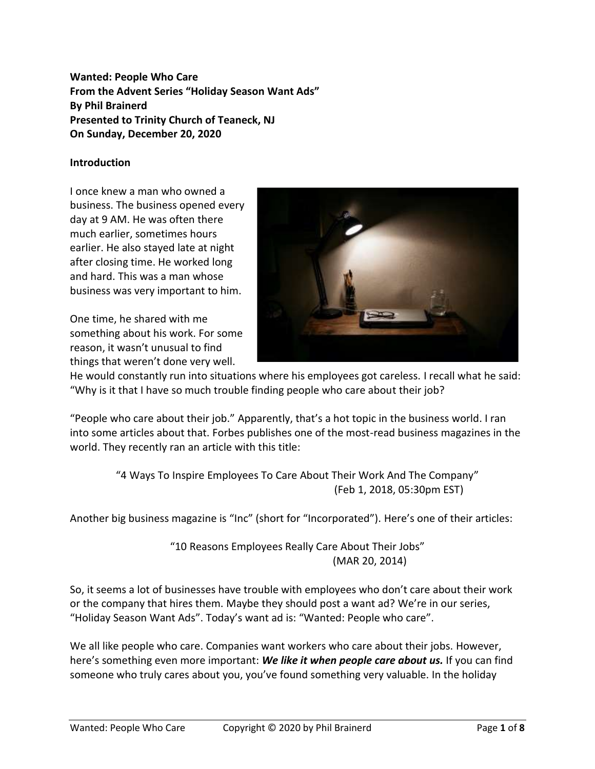**Wanted: People Who Care From the Advent Series "Holiday Season Want Ads" By Phil Brainerd Presented to Trinity Church of Teaneck, NJ On Sunday, December 20, 2020**

## **Introduction**

I once knew a man who owned a business. The business opened every day at 9 AM. He was often there much earlier, sometimes hours earlier. He also stayed late at night after closing time. He worked long and hard. This was a man whose business was very important to him.

One time, he shared with me something about his work. For some reason, it wasn't unusual to find things that weren't done very well.



He would constantly run into situations where his employees got careless. I recall what he said: "Why is it that I have so much trouble finding people who care about their job?

"People who care about their job." Apparently, that's a hot topic in the business world. I ran into some articles about that. Forbes publishes one of the most-read business magazines in the world. They recently ran an article with this title:

> "4 Ways To Inspire Employees To Care About Their Work And The Company" (Feb 1, 2018, 05:30pm EST)

Another big business magazine is "Inc" (short for "Incorporated"). Here's one of their articles:

"10 Reasons Employees Really Care About Their Jobs" (MAR 20, 2014)

So, it seems a lot of businesses have trouble with employees who don't care about their work or the company that hires them. Maybe they should post a want ad? We're in our series, "Holiday Season Want Ads". Today's want ad is: "Wanted: People who care".

We all like people who care. Companies want workers who care about their jobs. However, here's something even more important: *We like it when people care about us.* If you can find someone who truly cares about you, you've found something very valuable. In the holiday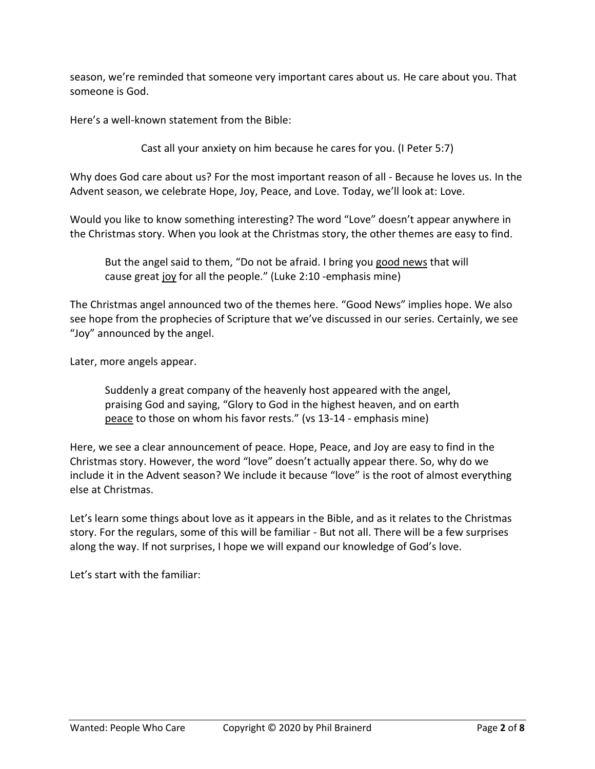season, we're reminded that someone very important cares about us. He care about you. That someone is God.

Here's a well-known statement from the Bible:

Cast all your anxiety on him because he cares for you. (I Peter 5:7)

Why does God care about us? For the most important reason of all - Because he loves us. In the Advent season, we celebrate Hope, Joy, Peace, and Love. Today, we'll look at: Love.

Would you like to know something interesting? The word "Love" doesn't appear anywhere in the Christmas story. When you look at the Christmas story, the other themes are easy to find.

But the angel said to them, "Do not be afraid. I bring you good news that will cause great joy for all the people." (Luke 2:10 -emphasis mine)

The Christmas angel announced two of the themes here. "Good News" implies hope. We also see hope from the prophecies of Scripture that we've discussed in our series. Certainly, we see "Joy" announced by the angel.

Later, more angels appear.

Suddenly a great company of the heavenly host appeared with the angel, praising God and saying, "Glory to God in the highest heaven, and on earth peace to those on whom his favor rests." (vs 13-14 - emphasis mine)

Here, we see a clear announcement of peace. Hope, Peace, and Joy are easy to find in the Christmas story. However, the word "love" doesn't actually appear there. So, why do we include it in the Advent season? We include it because "love" is the root of almost everything else at Christmas.

Let's learn some things about love as it appears in the Bible, and as it relates to the Christmas story. For the regulars, some of this will be familiar - But not all. There will be a few surprises along the way. If not surprises, I hope we will expand our knowledge of God's love.

Let's start with the familiar: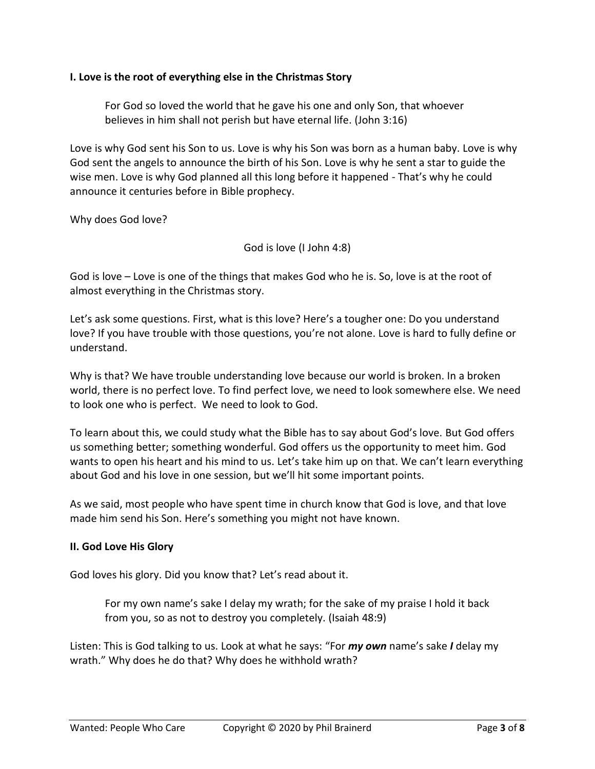### **I. Love is the root of everything else in the Christmas Story**

For God so loved the world that he gave his one and only Son, that whoever believes in him shall not perish but have eternal life. (John 3:16)

Love is why God sent his Son to us. Love is why his Son was born as a human baby. Love is why God sent the angels to announce the birth of his Son. Love is why he sent a star to guide the wise men. Love is why God planned all this long before it happened - That's why he could announce it centuries before in Bible prophecy.

Why does God love?

God is love (I John 4:8)

God is love – Love is one of the things that makes God who he is. So, love is at the root of almost everything in the Christmas story.

Let's ask some questions. First, what is this love? Here's a tougher one: Do you understand love? If you have trouble with those questions, you're not alone. Love is hard to fully define or understand.

Why is that? We have trouble understanding love because our world is broken. In a broken world, there is no perfect love. To find perfect love, we need to look somewhere else. We need to look one who is perfect. We need to look to God.

To learn about this, we could study what the Bible has to say about God's love. But God offers us something better; something wonderful. God offers us the opportunity to meet him. God wants to open his heart and his mind to us. Let's take him up on that. We can't learn everything about God and his love in one session, but we'll hit some important points.

As we said, most people who have spent time in church know that God is love, and that love made him send his Son. Here's something you might not have known.

#### **II. God Love His Glory**

God loves his glory. Did you know that? Let's read about it.

For my own name's sake I delay my wrath; for the sake of my praise I hold it back from you, so as not to destroy you completely. (Isaiah 48:9)

Listen: This is God talking to us. Look at what he says: "For *my own* name's sake *I* delay my wrath." Why does he do that? Why does he withhold wrath?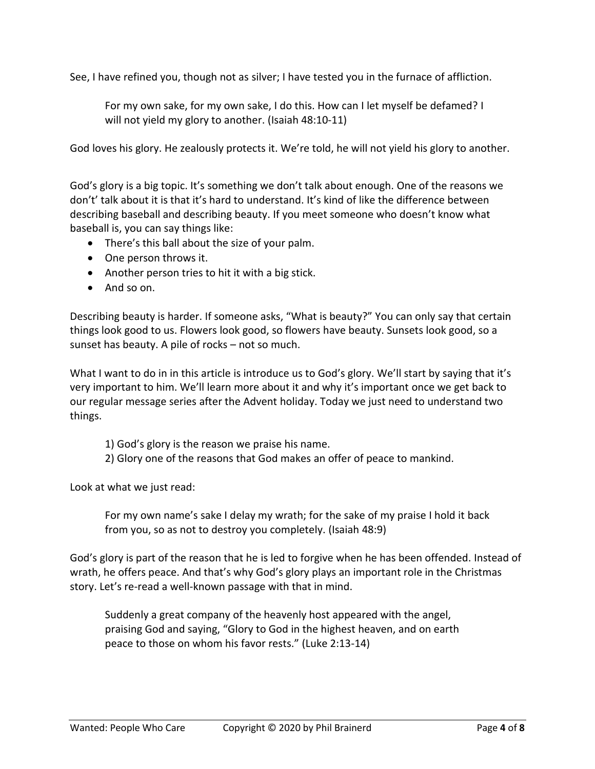See, I have refined you, though not as silver; I have tested you in the furnace of affliction.

For my own sake, for my own sake, I do this. How can I let myself be defamed? I will not yield my glory to another. (Isaiah 48:10-11)

God loves his glory. He zealously protects it. We're told, he will not yield his glory to another.

God's glory is a big topic. It's something we don't talk about enough. One of the reasons we don't' talk about it is that it's hard to understand. It's kind of like the difference between describing baseball and describing beauty. If you meet someone who doesn't know what baseball is, you can say things like:

- There's this ball about the size of your palm.
- One person throws it.
- Another person tries to hit it with a big stick.
- And so on.

Describing beauty is harder. If someone asks, "What is beauty?" You can only say that certain things look good to us. Flowers look good, so flowers have beauty. Sunsets look good, so a sunset has beauty. A pile of rocks – not so much.

What I want to do in in this article is introduce us to God's glory. We'll start by saying that it's very important to him. We'll learn more about it and why it's important once we get back to our regular message series after the Advent holiday. Today we just need to understand two things.

- 1) God's glory is the reason we praise his name.
- 2) Glory one of the reasons that God makes an offer of peace to mankind.

Look at what we just read:

For my own name's sake I delay my wrath; for the sake of my praise I hold it back from you, so as not to destroy you completely. (Isaiah 48:9)

God's glory is part of the reason that he is led to forgive when he has been offended. Instead of wrath, he offers peace. And that's why God's glory plays an important role in the Christmas story. Let's re-read a well-known passage with that in mind.

Suddenly a great company of the heavenly host appeared with the angel, praising God and saying, "Glory to God in the highest heaven, and on earth peace to those on whom his favor rests." (Luke 2:13-14)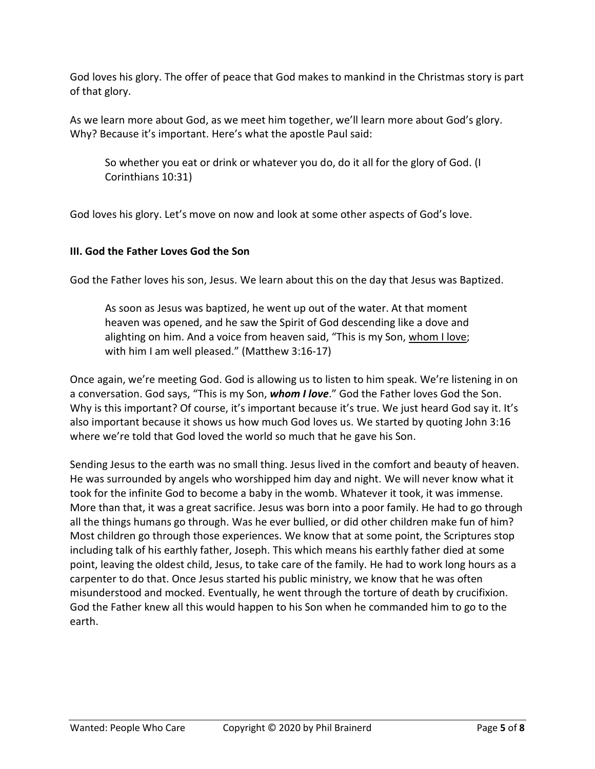God loves his glory. The offer of peace that God makes to mankind in the Christmas story is part of that glory.

As we learn more about God, as we meet him together, we'll learn more about God's glory. Why? Because it's important. Here's what the apostle Paul said:

So whether you eat or drink or whatever you do, do it all for the glory of God. (I Corinthians 10:31)

God loves his glory. Let's move on now and look at some other aspects of God's love.

## **III. God the Father Loves God the Son**

God the Father loves his son, Jesus. We learn about this on the day that Jesus was Baptized.

As soon as Jesus was baptized, he went up out of the water. At that moment heaven was opened, and he saw the Spirit of God descending like a dove and alighting on him. And a voice from heaven said, "This is my Son, whom I love; with him I am well pleased." (Matthew 3:16-17)

Once again, we're meeting God. God is allowing us to listen to him speak. We're listening in on a conversation. God says, "This is my Son, *whom I love*." God the Father loves God the Son. Why is this important? Of course, it's important because it's true. We just heard God say it. It's also important because it shows us how much God loves us. We started by quoting John 3:16 where we're told that God loved the world so much that he gave his Son.

Sending Jesus to the earth was no small thing. Jesus lived in the comfort and beauty of heaven. He was surrounded by angels who worshipped him day and night. We will never know what it took for the infinite God to become a baby in the womb. Whatever it took, it was immense. More than that, it was a great sacrifice. Jesus was born into a poor family. He had to go through all the things humans go through. Was he ever bullied, or did other children make fun of him? Most children go through those experiences. We know that at some point, the Scriptures stop including talk of his earthly father, Joseph. This which means his earthly father died at some point, leaving the oldest child, Jesus, to take care of the family. He had to work long hours as a carpenter to do that. Once Jesus started his public ministry, we know that he was often misunderstood and mocked. Eventually, he went through the torture of death by crucifixion. God the Father knew all this would happen to his Son when he commanded him to go to the earth.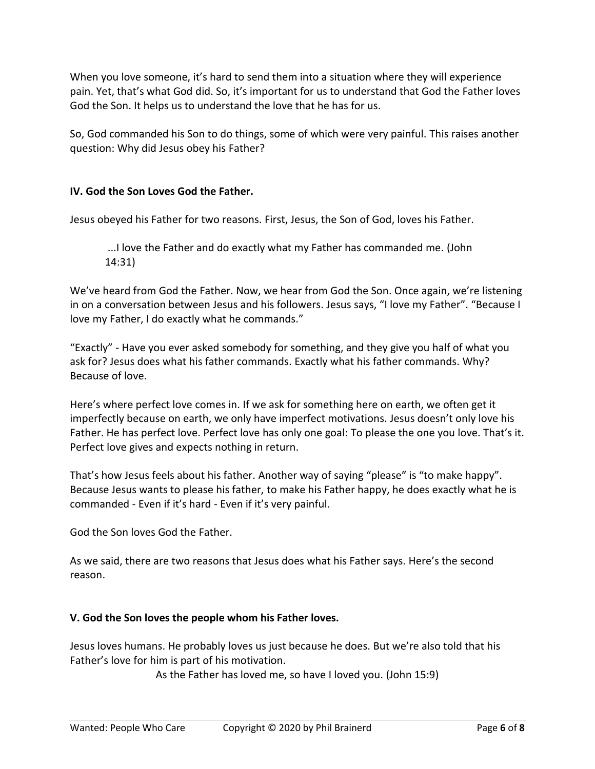When you love someone, it's hard to send them into a situation where they will experience pain. Yet, that's what God did. So, it's important for us to understand that God the Father loves God the Son. It helps us to understand the love that he has for us.

So, God commanded his Son to do things, some of which were very painful. This raises another question: Why did Jesus obey his Father?

# **IV. God the Son Loves God the Father.**

Jesus obeyed his Father for two reasons. First, Jesus, the Son of God, loves his Father.

...I love the Father and do exactly what my Father has commanded me. (John 14:31)

We've heard from God the Father. Now, we hear from God the Son. Once again, we're listening in on a conversation between Jesus and his followers. Jesus says, "I love my Father". "Because I love my Father, I do exactly what he commands."

"Exactly" - Have you ever asked somebody for something, and they give you half of what you ask for? Jesus does what his father commands. Exactly what his father commands. Why? Because of love.

Here's where perfect love comes in. If we ask for something here on earth, we often get it imperfectly because on earth, we only have imperfect motivations. Jesus doesn't only love his Father. He has perfect love. Perfect love has only one goal: To please the one you love. That's it. Perfect love gives and expects nothing in return.

That's how Jesus feels about his father. Another way of saying "please" is "to make happy". Because Jesus wants to please his father, to make his Father happy, he does exactly what he is commanded - Even if it's hard - Even if it's very painful.

God the Son loves God the Father.

As we said, there are two reasons that Jesus does what his Father says. Here's the second reason.

## **V. God the Son loves the people whom his Father loves.**

Jesus loves humans. He probably loves us just because he does. But we're also told that his Father's love for him is part of his motivation.

As the Father has loved me, so have I loved you. (John 15:9)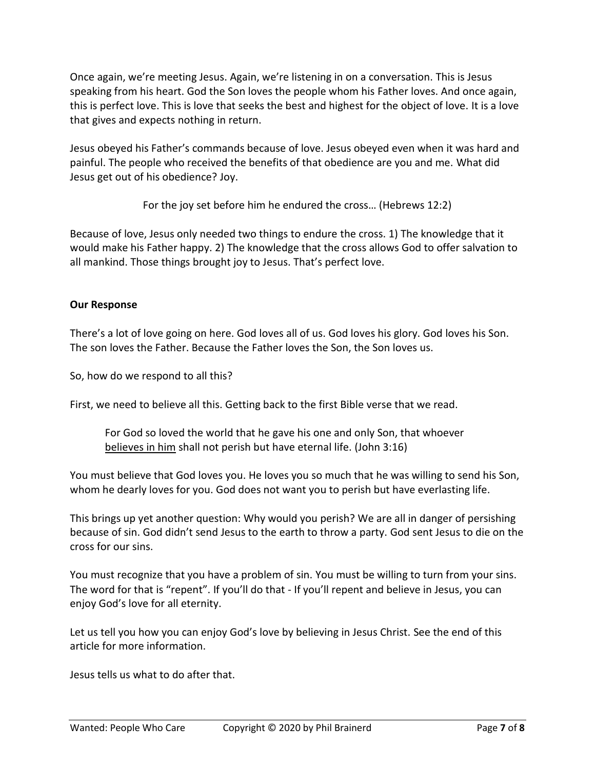Once again, we're meeting Jesus. Again, we're listening in on a conversation. This is Jesus speaking from his heart. God the Son loves the people whom his Father loves. And once again, this is perfect love. This is love that seeks the best and highest for the object of love. It is a love that gives and expects nothing in return.

Jesus obeyed his Father's commands because of love. Jesus obeyed even when it was hard and painful. The people who received the benefits of that obedience are you and me. What did Jesus get out of his obedience? Joy.

For the joy set before him he endured the cross… (Hebrews 12:2)

Because of love, Jesus only needed two things to endure the cross. 1) The knowledge that it would make his Father happy. 2) The knowledge that the cross allows God to offer salvation to all mankind. Those things brought joy to Jesus. That's perfect love.

## **Our Response**

There's a lot of love going on here. God loves all of us. God loves his glory. God loves his Son. The son loves the Father. Because the Father loves the Son, the Son loves us.

So, how do we respond to all this?

First, we need to believe all this. Getting back to the first Bible verse that we read.

For God so loved the world that he gave his one and only Son, that whoever believes in him shall not perish but have eternal life. (John 3:16)

You must believe that God loves you. He loves you so much that he was willing to send his Son, whom he dearly loves for you. God does not want you to perish but have everlasting life.

This brings up yet another question: Why would you perish? We are all in danger of persishing because of sin. God didn't send Jesus to the earth to throw a party. God sent Jesus to die on the cross for our sins.

You must recognize that you have a problem of sin. You must be willing to turn from your sins. The word for that is "repent". If you'll do that - If you'll repent and believe in Jesus, you can enjoy God's love for all eternity.

Let us tell you how you can enjoy God's love by believing in Jesus Christ. See the end of this article for more information.

Jesus tells us what to do after that.